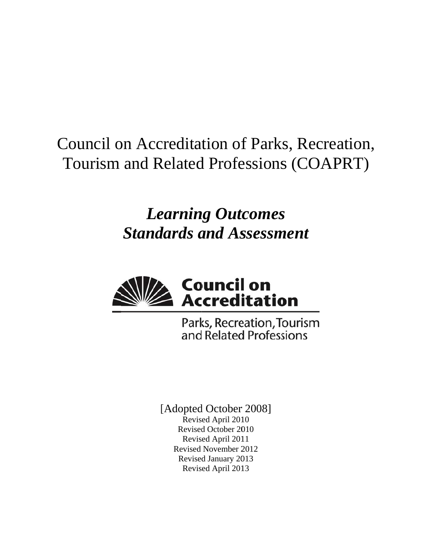## Council on Accreditation of Parks, Recreation, Tourism and Related Professions (COAPRT)

# *Learning Outcomes* **Standards and Assessment**



Parks, Recreation, Tourism and Related Professions

[Adopted October 2008] Revised April 2010 Revised October 2010 Revised April 2011 Revised November 2 2012 Revised January 2013 Revis ed April 201 13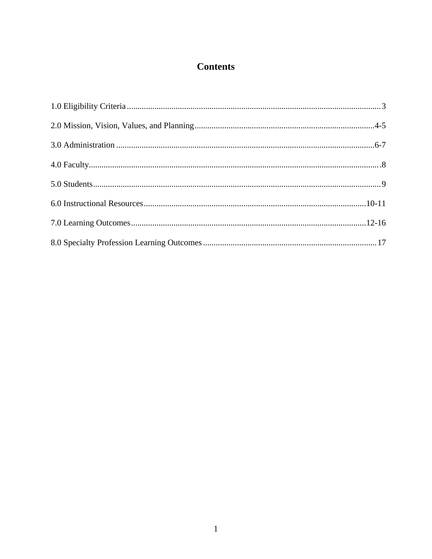## **Contents**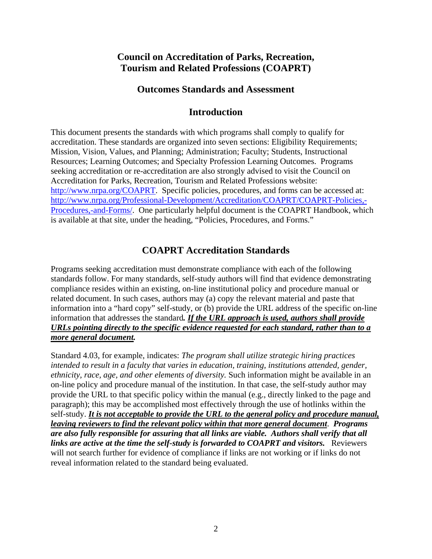## **Council on Accreditation of Parks, Recreation, Tourism and Related Professions (COAPRT)**

### **Outcomes Standards and Assessment**

## **Introduction**

This document presents the standards with which programs shall comply to qualify for accreditation. These standards are organized into seven sections: Eligibility Requirements; Mission, Vision, Values, and Planning; Administration; Faculty; Students, Instructional Resources; Learning Outcomes; and Specialty Profession Learning Outcomes. Programs seeking accreditation or re-accreditation are also strongly advised to visit the Council on Accreditation for Parks, Recreation, Tourism and Related Professions website: http://www.nrpa.org/COAPRT. Specific policies, procedures, and forms can be accessed at: http://www.nrpa.org/Professional-Development/Accreditation/COAPRT/COAPRT-Policies,- Procedures,-and-Forms/. One particularly helpful document is the COAPRT Handbook, which is available at that site, under the heading, "Policies, Procedures, and Forms."

## **COAPRT Accreditation Standards**

Programs seeking accreditation must demonstrate compliance with each of the following standards follow. For many standards, self-study authors will find that evidence demonstrating compliance resides within an existing, on-line institutional policy and procedure manual or related document. In such cases, authors may (a) copy the relevant material and paste that information into a "hard copy" self-study, or (b) provide the URL address of the specific on-line information that addresses the standard*. If the URL approach is used, authors shall provide URLs pointing directly to the specific evidence requested for each standard, rather than to a more general document.* 

Standard 4.03, for example, indicates: *The program shall utilize strategic hiring practices intended to result in a faculty that varies in education, training, institutions attended, gender, ethnicity, race, age, and other elements of diversity.* Such information might be available in an on-line policy and procedure manual of the institution. In that case, the self-study author may provide the URL to that specific policy within the manual (e.g., directly linked to the page and paragraph); this may be accomplished most effectively through the use of hotlinks within the self-study. *It is not acceptable to provide the URL to the general policy and procedure manual, leaving reviewers to find the relevant policy within that more general document*. *Programs are also fully responsible for assuring that all links are viable. Authors shall verify that all links are active at the time the self-study is forwarded to COAPRT and visitors.* Reviewers will not search further for evidence of compliance if links are not working or if links do not reveal information related to the standard being evaluated.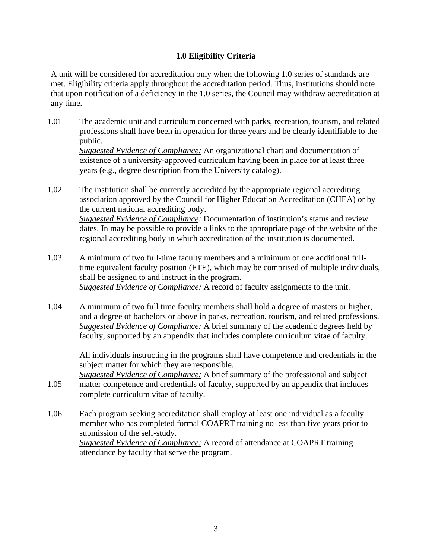#### **1.0 Eligibility Criteria**

A unit will be considered for accreditation only when the following 1.0 series of standards are met. Eligibility criteria apply throughout the accreditation period. Thus, institutions should note that upon notification of a deficiency in the 1.0 series, the Council may withdraw accreditation at any time.

1.01 The academic unit and curriculum concerned with parks, recreation, tourism, and related professions shall have been in operation for three years and be clearly identifiable to the public. *Suggested Evidence of Compliance:* An organizational chart and documentation of existence of a university-approved curriculum having been in place for at least three years (e.g., degree description from the University catalog).

1.02 The institution shall be currently accredited by the appropriate regional accrediting association approved by the Council for Higher Education Accreditation (CHEA) or by the current national accrediting body. *Suggested Evidence of Compliance:* Documentation of institution's status and review dates. In may be possible to provide a links to the appropriate page of the website of the regional accrediting body in which accreditation of the institution is documented.

- 1.03 A minimum of two full-time faculty members and a minimum of one additional fulltime equivalent faculty position (FTE), which may be comprised of multiple individuals, shall be assigned to and instruct in the program. *Suggested Evidence of Compliance:* A record of faculty assignments to the unit.
- 1.04 A minimum of two full time faculty members shall hold a degree of masters or higher, and a degree of bachelors or above in parks, recreation, tourism, and related professions. *Suggested Evidence of Compliance:* A brief summary of the academic degrees held by faculty, supported by an appendix that includes complete curriculum vitae of faculty.

All individuals instructing in the programs shall have competence and credentials in the subject matter for which they are responsible.

1.05 *Suggested Evidence of Compliance:* A brief summary of the professional and subject matter competence and credentials of faculty, supported by an appendix that includes complete curriculum vitae of faculty.

1.06 Each program seeking accreditation shall employ at least one individual as a faculty member who has completed formal COAPRT training no less than five years prior to submission of the self-study. *Suggested Evidence of Compliance:* A record of attendance at COAPRT training attendance by faculty that serve the program.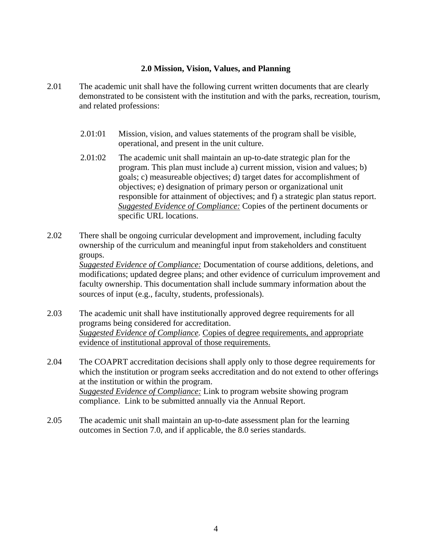#### **2.0 Mission, Vision, Values, and Planning**

- 2.01 The academic unit shall have the following current written documents that are clearly demonstrated to be consistent with the institution and with the parks, recreation, tourism, and related professions:
	- 2.01:01 Mission, vision, and values statements of the program shall be visible, operational, and present in the unit culture.
	- 2.01:02 The academic unit shall maintain an up-to-date strategic plan for the program. This plan must include a) current mission, vision and values; b) goals; c) measureable objectives; d) target dates for accomplishment of objectives; e) designation of primary person or organizational unit responsible for attainment of objectives; and f) a strategic plan status report. *Suggested Evidence of Compliance:* Copies of the pertinent documents or specific URL locations.
- 2.02 There shall be ongoing curricular development and improvement, including faculty ownership of the curriculum and meaningful input from stakeholders and constituent groups. *Suggested Evidence of Compliance:* Documentation of course additions, deletions, and modifications; updated degree plans; and other evidence of curriculum improvement and faculty ownership. This documentation shall include summary information about the sources of input (e.g., faculty, students, professionals).
- 2.03 The academic unit shall have institutionally approved degree requirements for all programs being considered for accreditation. *Suggested Evidence of Compliance.* Copies of degree requirements, and appropriate evidence of institutional approval of those requirements.
- 2.04 The COAPRT accreditation decisions shall apply only to those degree requirements for which the institution or program seeks accreditation and do not extend to other offerings at the institution or within the program. *Suggested Evidence of Compliance:* Link to program website showing program compliance. Link to be submitted annually via the Annual Report.
- 2.05 The academic unit shall maintain an up-to-date assessment plan for the learning outcomes in Section 7.0, and if applicable, the 8.0 series standards.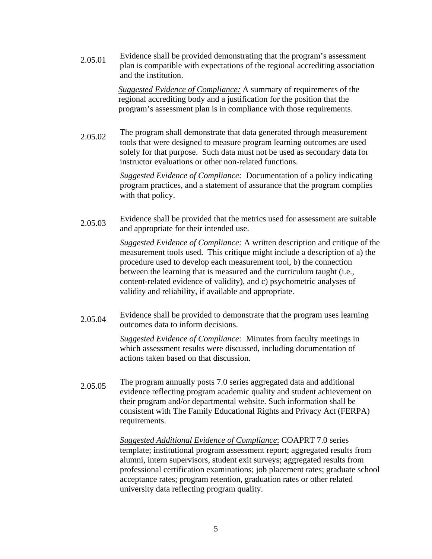$2.05.01$  Evidence shall be provided demonstrating that the program's assessment plan is compatible with expectations of the regional accrediting association and the institution.

> *Suggested Evidence of Compliance:* A summary of requirements of the regional accrediting body and a justification for the position that the program's assessment plan is in compliance with those requirements.

2.05.02 The program shall demonstrate that data generated through measurement tools that were designed to measure program learning outcomes are used solely for that purpose. Such data must not be used as secondary data for instructor evaluations or other non-related functions.

> *Suggested Evidence of Compliance:* Documentation of a policy indicating program practices, and a statement of assurance that the program complies with that policy.

2.05.03 Evidence shall be provided that the metrics used for assessment are suitable and appropriate for their intended use.

> *Suggested Evidence of Compliance:* A written description and critique of the measurement tools used. This critique might include a description of a) the procedure used to develop each measurement tool, b) the connection between the learning that is measured and the curriculum taught (i.e., content-related evidence of validity), and c) psychometric analyses of validity and reliability, if available and appropriate.

2.05.04 Evidence shall be provided to demonstrate that the program uses learning outcomes data to inform decisions.

> *Suggested Evidence of Compliance:* Minutes from faculty meetings in which assessment results were discussed, including documentation of actions taken based on that discussion.

2.05.05 The program annually posts 7.0 series aggregated data and additional evidence reflecting program academic quality and student achievement on their program and/or departmental website. Such information shall be consistent with The Family Educational Rights and Privacy Act (FERPA) requirements.

> *Suggested Additional Evidence of Compliance*: COAPRT 7.0 series template; institutional program assessment report; aggregated results from alumni, intern supervisors, student exit surveys; aggregated results from professional certification examinations; job placement rates; graduate school acceptance rates; program retention, graduation rates or other related university data reflecting program quality.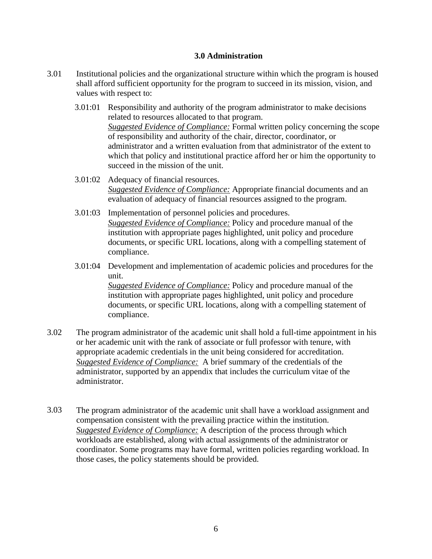#### **3.0 Administration**

- 3.01 Institutional policies and the organizational structure within which the program is housed shall afford sufficient opportunity for the program to succeed in its mission, vision, and values with respect to:
	- 3.01:01 Responsibility and authority of the program administrator to make decisions related to resources allocated to that program. *Suggested Evidence of Compliance:* Formal written policy concerning the scope of responsibility and authority of the chair, director, coordinator, or administrator and a written evaluation from that administrator of the extent to which that policy and institutional practice afford her or him the opportunity to succeed in the mission of the unit.
	- 3.01:02 Adequacy of financial resources. *Suggested Evidence of Compliance:* Appropriate financial documents and an evaluation of adequacy of financial resources assigned to the program.
	- 3.01:03 Implementation of personnel policies and procedures. *Suggested Evidence of Compliance:* Policy and procedure manual of the institution with appropriate pages highlighted, unit policy and procedure documents, or specific URL locations, along with a compelling statement of compliance.
	- 3.01:04 Development and implementation of academic policies and procedures for the unit.

*Suggested Evidence of Compliance:* Policy and procedure manual of the institution with appropriate pages highlighted, unit policy and procedure documents, or specific URL locations, along with a compelling statement of compliance.

- 3.02 The program administrator of the academic unit shall hold a full-time appointment in his or her academic unit with the rank of associate or full professor with tenure, with appropriate academic credentials in the unit being considered for accreditation. *Suggested Evidence of Compliance:* A brief summary of the credentials of the administrator, supported by an appendix that includes the curriculum vitae of the administrator.
- 3.03 The program administrator of the academic unit shall have a workload assignment and compensation consistent with the prevailing practice within the institution. *Suggested Evidence of Compliance:* A description of the process through which workloads are established, along with actual assignments of the administrator or coordinator. Some programs may have formal, written policies regarding workload. In those cases, the policy statements should be provided.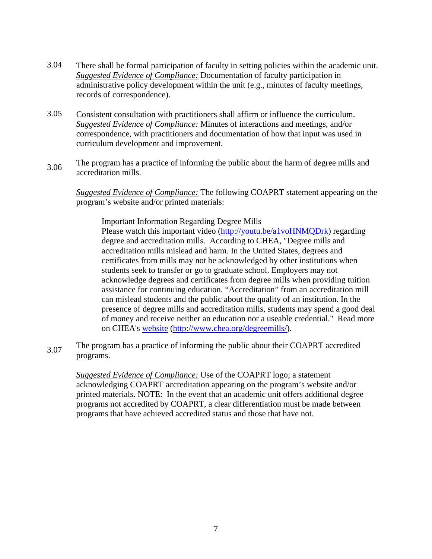- 3.04 There shall be formal participation of faculty in setting policies within the academic unit. *Suggested Evidence of Compliance:* Documentation of faculty participation in administrative policy development within the unit (e.g., minutes of faculty meetings, records of correspondence).
- 3.05 Consistent consultation with practitioners shall affirm or influence the curriculum. *Suggested Evidence of Compliance:* Minutes of interactions and meetings, and/or correspondence, with practitioners and documentation of how that input was used in curriculum development and improvement.
- 3.06 The program has a practice of informing the public about the harm of degree mills and accreditation mills.

*Suggested Evidence of Compliance:* The following COAPRT statement appearing on the program's website and/or printed materials:

Important Information Regarding Degree Mills Please watch this important video (http://youtu.be/a1voHNMQDrk) regarding degree and accreditation mills. According to CHEA, "Degree mills and accreditation mills mislead and harm. In the United States, degrees and certificates from mills may not be acknowledged by other institutions when students seek to transfer or go to graduate school. Employers may not acknowledge degrees and certificates from degree mills when providing tuition assistance for continuing education. "Accreditation" from an accreditation mill can mislead students and the public about the quality of an institution. In the presence of degree mills and accreditation mills, students may spend a good deal of money and receive neither an education nor a useable credential." Read more on CHEA's website (http://www.chea.org/degreemills/).

3.07 The program has a practice of informing the public about their COAPRT accredited programs.

*Suggested Evidence of Compliance:* Use of the COAPRT logo; a statement acknowledging COAPRT accreditation appearing on the program's website and/or printed materials. NOTE: In the event that an academic unit offers additional degree programs not accredited by COAPRT, a clear differentiation must be made between programs that have achieved accredited status and those that have not.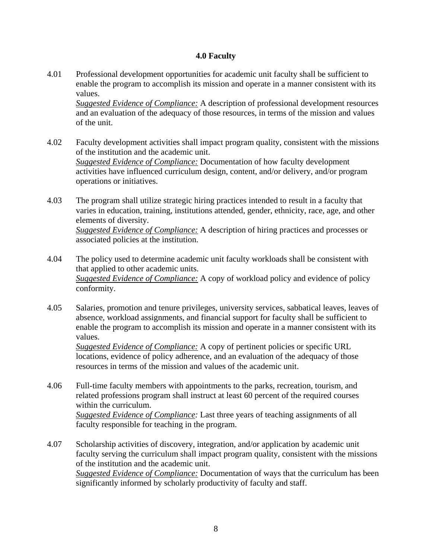#### **4.0 Faculty**

4.01 Professional development opportunities for academic unit faculty shall be sufficient to enable the program to accomplish its mission and operate in a manner consistent with its values.

*Suggested Evidence of Compliance:* A description of professional development resources and an evaluation of the adequacy of those resources, in terms of the mission and values of the unit.

4.02 Faculty development activities shall impact program quality, consistent with the missions of the institution and the academic unit. *Suggested Evidence of Compliance:* Documentation of how faculty development activities have influenced curriculum design, content, and/or delivery, and/or program operations or initiatives.

4.03 The program shall utilize strategic hiring practices intended to result in a faculty that varies in education, training, institutions attended, gender, ethnicity, race, age, and other elements of diversity. *Suggested Evidence of Compliance:* A description of hiring practices and processes or associated policies at the institution.

- 4.04 The policy used to determine academic unit faculty workloads shall be consistent with that applied to other academic units. *Suggested Evidence of Compliance:* A copy of workload policy and evidence of policy conformity.
- 4.05 Salaries, promotion and tenure privileges, university services, sabbatical leaves, leaves of absence, workload assignments, and financial support for faculty shall be sufficient to enable the program to accomplish its mission and operate in a manner consistent with its values.

*Suggested Evidence of Compliance:* A copy of pertinent policies or specific URL locations, evidence of policy adherence, and an evaluation of the adequacy of those resources in terms of the mission and values of the academic unit.

- 4.06 Full-time faculty members with appointments to the parks, recreation, tourism, and related professions program shall instruct at least 60 percent of the required courses within the curriculum. *Suggested Evidence of Compliance:* Last three years of teaching assignments of all faculty responsible for teaching in the program.
- 4.07 Scholarship activities of discovery, integration, and/or application by academic unit faculty serving the curriculum shall impact program quality, consistent with the missions of the institution and the academic unit. *Suggested Evidence of Compliance:* Documentation of ways that the curriculum has been significantly informed by scholarly productivity of faculty and staff.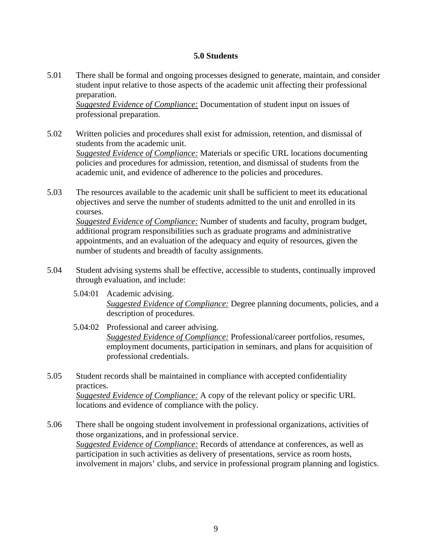#### **5.0 Students**

5.01 There shall be formal and ongoing processes designed to generate, maintain, and consider student input relative to those aspects of the academic unit affecting their professional preparation.

*Suggested Evidence of Compliance:* Documentation of student input on issues of professional preparation.

- 5.02 Written policies and procedures shall exist for admission, retention, and dismissal of students from the academic unit. *Suggested Evidence of Compliance:* Materials or specific URL locations documenting policies and procedures for admission, retention, and dismissal of students from the academic unit, and evidence of adherence to the policies and procedures.
- 5.03 The resources available to the academic unit shall be sufficient to meet its educational objectives and serve the number of students admitted to the unit and enrolled in its courses.

*Suggested Evidence of Compliance:* Number of students and faculty, program budget, additional program responsibilities such as graduate programs and administrative appointments, and an evaluation of the adequacy and equity of resources, given the number of students and breadth of faculty assignments.

- 5.04 Student advising systems shall be effective, accessible to students, continually improved through evaluation, and include:
	- 5.04:01 Academic advising. *Suggested Evidence of Compliance:* Degree planning documents, policies, and a description of procedures.
	- 5.04:02 Professional and career advising. *Suggested Evidence of Compliance:* Professional/career portfolios, resumes, employment documents, participation in seminars, and plans for acquisition of professional credentials.
- 5.05 Student records shall be maintained in compliance with accepted confidentiality practices. *Suggested Evidence of Compliance:* A copy of the relevant policy or specific URL locations and evidence of compliance with the policy.
- 5.06 There shall be ongoing student involvement in professional organizations, activities of those organizations, and in professional service. *Suggested Evidence of Compliance:* Records of attendance at conferences, as well as participation in such activities as delivery of presentations, service as room hosts, involvement in majors' clubs, and service in professional program planning and logistics.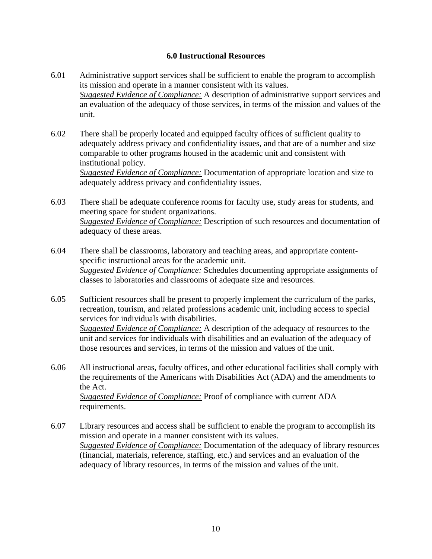#### **6.0 Instructional Resources**

- 6.01 Administrative support services shall be sufficient to enable the program to accomplish its mission and operate in a manner consistent with its values. *Suggested Evidence of Compliance:* A description of administrative support services and an evaluation of the adequacy of those services, in terms of the mission and values of the unit.
- 6.02 There shall be properly located and equipped faculty offices of sufficient quality to adequately address privacy and confidentiality issues, and that are of a number and size comparable to other programs housed in the academic unit and consistent with institutional policy. *Suggested Evidence of Compliance:* Documentation of appropriate location and size to adequately address privacy and confidentiality issues.
- 6.03 There shall be adequate conference rooms for faculty use, study areas for students, and meeting space for student organizations. *Suggested Evidence of Compliance:* Description of such resources and documentation of adequacy of these areas.
- 6.04 There shall be classrooms, laboratory and teaching areas, and appropriate contentspecific instructional areas for the academic unit. *Suggested Evidence of Compliance:* Schedules documenting appropriate assignments of classes to laboratories and classrooms of adequate size and resources.
- 6.05 Sufficient resources shall be present to properly implement the curriculum of the parks, recreation, tourism, and related professions academic unit, including access to special services for individuals with disabilities.

*Suggested Evidence of Compliance:* A description of the adequacy of resources to the unit and services for individuals with disabilities and an evaluation of the adequacy of those resources and services, in terms of the mission and values of the unit.

6.06 All instructional areas, faculty offices, and other educational facilities shall comply with the requirements of the Americans with Disabilities Act (ADA) and the amendments to the Act.

*Suggested Evidence of Compliance:* Proof of compliance with current ADA requirements.

6.07 Library resources and access shall be sufficient to enable the program to accomplish its mission and operate in a manner consistent with its values. *Suggested Evidence of Compliance:* Documentation of the adequacy of library resources (financial, materials, reference, staffing, etc.) and services and an evaluation of the adequacy of library resources, in terms of the mission and values of the unit.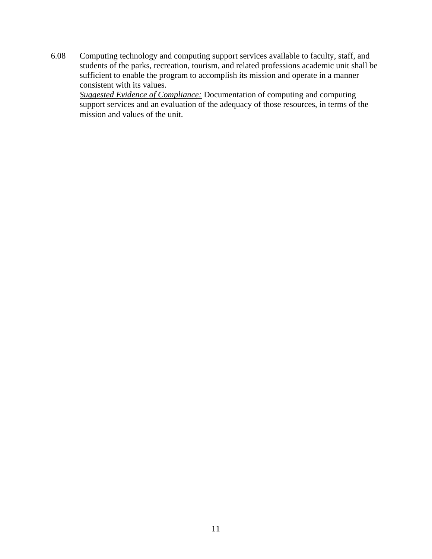6.08 Computing technology and computing support services available to faculty, staff, and students of the parks, recreation, tourism, and related professions academic unit shall be sufficient to enable the program to accomplish its mission and operate in a manner consistent with its values.

*Suggested Evidence of Compliance:* Documentation of computing and computing support services and an evaluation of the adequacy of those resources, in terms of the mission and values of the unit.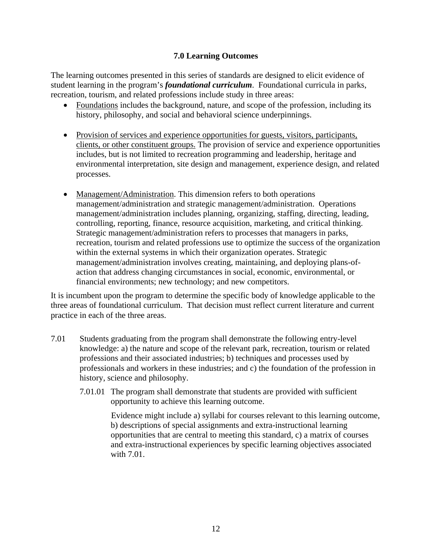#### **7.0 Learning Outcomes**

The learning outcomes presented in this series of standards are designed to elicit evidence of student learning in the program's *foundational curriculum*. Foundational curricula in parks, recreation, tourism, and related professions include study in three areas:

- Foundations includes the background, nature, and scope of the profession, including its history, philosophy, and social and behavioral science underpinnings.
- Provision of services and experience opportunities for guests, visitors, participants, clients, or other constituent groups. The provision of service and experience opportunities includes, but is not limited to recreation programming and leadership, heritage and environmental interpretation, site design and management, experience design, and related processes.
- Management/Administration. This dimension refers to both operations management/administration and strategic management/administration. Operations management/administration includes planning, organizing, staffing, directing, leading, controlling, reporting, finance, resource acquisition, marketing, and critical thinking. Strategic management/administration refers to processes that managers in parks, recreation, tourism and related professions use to optimize the success of the organization within the external systems in which their organization operates. Strategic management/administration involves creating, maintaining, and deploying plans-ofaction that address changing circumstances in social, economic, environmental, or financial environments; new technology; and new competitors.

It is incumbent upon the program to determine the specific body of knowledge applicable to the three areas of foundational curriculum. That decision must reflect current literature and current practice in each of the three areas.

- 7.01 Students graduating from the program shall demonstrate the following entry-level knowledge: a) the nature and scope of the relevant park, recreation, tourism or related professions and their associated industries; b) techniques and processes used by professionals and workers in these industries; and c) the foundation of the profession in history, science and philosophy.
	- 7.01.01 The program shall demonstrate that students are provided with sufficient opportunity to achieve this learning outcome.

Evidence might include a) syllabi for courses relevant to this learning outcome, b) descriptions of special assignments and extra-instructional learning opportunities that are central to meeting this standard, c) a matrix of courses and extra-instructional experiences by specific learning objectives associated with 7.01.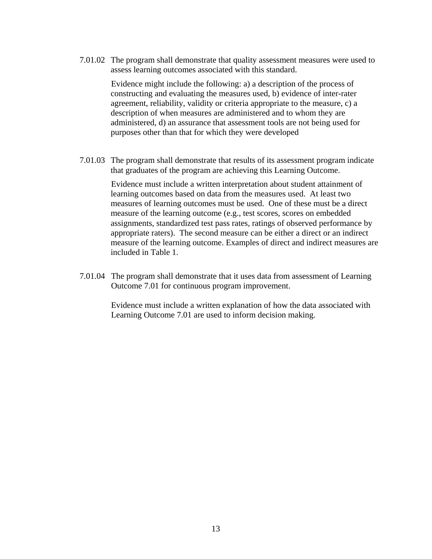7.01.02 The program shall demonstrate that quality assessment measures were used to assess learning outcomes associated with this standard.

> Evidence might include the following: a) a description of the process of constructing and evaluating the measures used, b) evidence of inter-rater agreement, reliability, validity or criteria appropriate to the measure, c) a description of when measures are administered and to whom they are administered, d) an assurance that assessment tools are not being used for purposes other than that for which they were developed

7.01.03 The program shall demonstrate that results of its assessment program indicate that graduates of the program are achieving this Learning Outcome.

> Evidence must include a written interpretation about student attainment of learning outcomes based on data from the measures used. At least two measures of learning outcomes must be used. One of these must be a direct measure of the learning outcome (e.g., test scores, scores on embedded assignments, standardized test pass rates, ratings of observed performance by appropriate raters). The second measure can be either a direct or an indirect measure of the learning outcome. Examples of direct and indirect measures are included in Table 1.

 7.01.04 The program shall demonstrate that it uses data from assessment of Learning Outcome 7.01 for continuous program improvement.

> Evidence must include a written explanation of how the data associated with Learning Outcome 7.01 are used to inform decision making.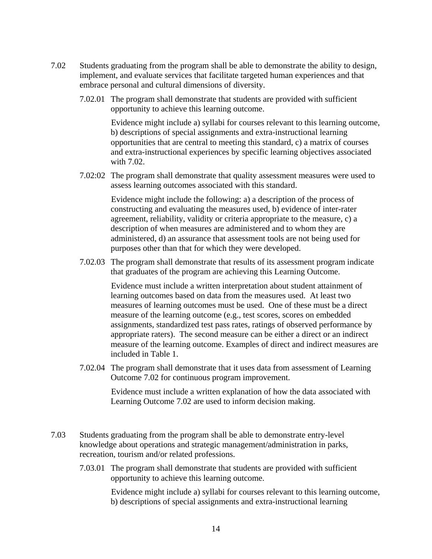- 7.02 Students graduating from the program shall be able to demonstrate the ability to design, implement, and evaluate services that facilitate targeted human experiences and that embrace personal and cultural dimensions of diversity.
	- 7.02.01 The program shall demonstrate that students are provided with sufficient opportunity to achieve this learning outcome.

Evidence might include a) syllabi for courses relevant to this learning outcome, b) descriptions of special assignments and extra-instructional learning opportunities that are central to meeting this standard, c) a matrix of courses and extra-instructional experiences by specific learning objectives associated with 7.02.

7.02:02 The program shall demonstrate that quality assessment measures were used to assess learning outcomes associated with this standard.

> Evidence might include the following: a) a description of the process of constructing and evaluating the measures used, b) evidence of inter-rater agreement, reliability, validity or criteria appropriate to the measure, c) a description of when measures are administered and to whom they are administered, d) an assurance that assessment tools are not being used for purposes other than that for which they were developed.

7.02.03 The program shall demonstrate that results of its assessment program indicate that graduates of the program are achieving this Learning Outcome.

> Evidence must include a written interpretation about student attainment of learning outcomes based on data from the measures used. At least two measures of learning outcomes must be used. One of these must be a direct measure of the learning outcome (e.g., test scores, scores on embedded assignments, standardized test pass rates, ratings of observed performance by appropriate raters). The second measure can be either a direct or an indirect measure of the learning outcome. Examples of direct and indirect measures are included in Table 1.

7.02.04 The program shall demonstrate that it uses data from assessment of Learning Outcome 7.02 for continuous program improvement.

> Evidence must include a written explanation of how the data associated with Learning Outcome 7.02 are used to inform decision making.

- 7.03 Students graduating from the program shall be able to demonstrate entry-level knowledge about operations and strategic management/administration in parks, recreation, tourism and/or related professions.
	- 7.03.01 The program shall demonstrate that students are provided with sufficient opportunity to achieve this learning outcome.

Evidence might include a) syllabi for courses relevant to this learning outcome, b) descriptions of special assignments and extra-instructional learning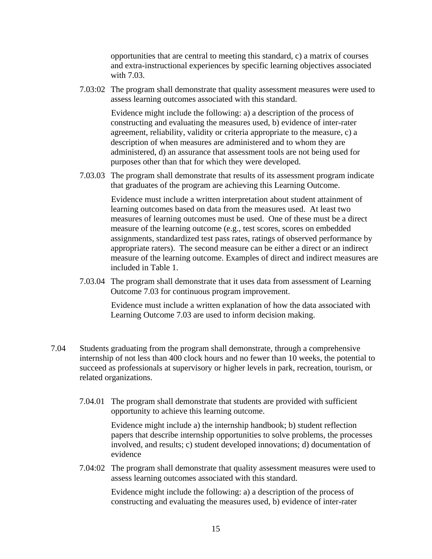opportunities that are central to meeting this standard, c) a matrix of courses and extra-instructional experiences by specific learning objectives associated with 7.03.

7.03:02 The program shall demonstrate that quality assessment measures were used to assess learning outcomes associated with this standard.

> Evidence might include the following: a) a description of the process of constructing and evaluating the measures used, b) evidence of inter-rater agreement, reliability, validity or criteria appropriate to the measure, c) a description of when measures are administered and to whom they are administered, d) an assurance that assessment tools are not being used for purposes other than that for which they were developed.

7.03.03 The program shall demonstrate that results of its assessment program indicate that graduates of the program are achieving this Learning Outcome.

> Evidence must include a written interpretation about student attainment of learning outcomes based on data from the measures used. At least two measures of learning outcomes must be used. One of these must be a direct measure of the learning outcome (e.g., test scores, scores on embedded assignments, standardized test pass rates, ratings of observed performance by appropriate raters). The second measure can be either a direct or an indirect measure of the learning outcome. Examples of direct and indirect measures are included in Table 1.

7.03.04 The program shall demonstrate that it uses data from assessment of Learning Outcome 7.03 for continuous program improvement.

> Evidence must include a written explanation of how the data associated with Learning Outcome 7.03 are used to inform decision making.

- 7.04 Students graduating from the program shall demonstrate, through a comprehensive internship of not less than 400 clock hours and no fewer than 10 weeks, the potential to succeed as professionals at supervisory or higher levels in park, recreation, tourism, or related organizations.
	- 7.04.01 The program shall demonstrate that students are provided with sufficient opportunity to achieve this learning outcome.

Evidence might include a) the internship handbook; b) student reflection papers that describe internship opportunities to solve problems, the processes involved, and results; c) student developed innovations; d) documentation of evidence

7.04:02 The program shall demonstrate that quality assessment measures were used to assess learning outcomes associated with this standard.

> Evidence might include the following: a) a description of the process of constructing and evaluating the measures used, b) evidence of inter-rater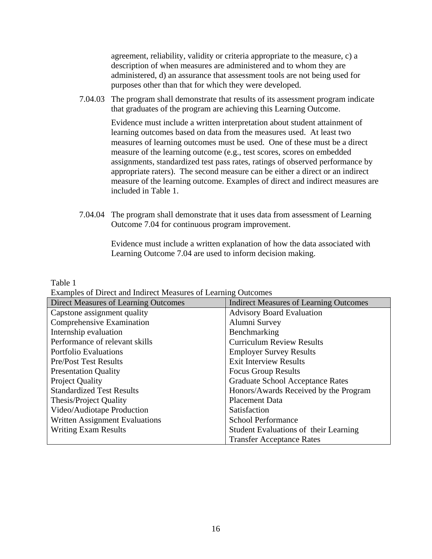agreement, reliability, validity or criteria appropriate to the measure, c) a description of when measures are administered and to whom they are administered, d) an assurance that assessment tools are not being used for purposes other than that for which they were developed.

7.04.03 The program shall demonstrate that results of its assessment program indicate that graduates of the program are achieving this Learning Outcome.

> Evidence must include a written interpretation about student attainment of learning outcomes based on data from the measures used. At least two measures of learning outcomes must be used. One of these must be a direct measure of the learning outcome (e.g., test scores, scores on embedded assignments, standardized test pass rates, ratings of observed performance by appropriate raters). The second measure can be either a direct or an indirect measure of the learning outcome. Examples of direct and indirect measures are included in Table 1.

7.04.04 The program shall demonstrate that it uses data from assessment of Learning Outcome 7.04 for continuous program improvement.

> Evidence must include a written explanation of how the data associated with Learning Outcome 7.04 are used to inform decision making.

Table 1

Examples of Direct and Indirect Measures of Learning Outcomes

| Direct Measures of Learning Outcomes  | <b>Indirect Measures of Learning Outcomes</b> |
|---------------------------------------|-----------------------------------------------|
| Capstone assignment quality           | <b>Advisory Board Evaluation</b>              |
| Comprehensive Examination             | Alumni Survey                                 |
| Internship evaluation                 | Benchmarking                                  |
| Performance of relevant skills        | <b>Curriculum Review Results</b>              |
| <b>Portfolio Evaluations</b>          | <b>Employer Survey Results</b>                |
| <b>Pre/Post Test Results</b>          | <b>Exit Interview Results</b>                 |
| <b>Presentation Quality</b>           | <b>Focus Group Results</b>                    |
| <b>Project Quality</b>                | <b>Graduate School Acceptance Rates</b>       |
| <b>Standardized Test Results</b>      | Honors/Awards Received by the Program         |
| <b>Thesis/Project Quality</b>         | <b>Placement Data</b>                         |
| Video/Audiotape Production            | Satisfaction                                  |
| <b>Written Assignment Evaluations</b> | <b>School Performance</b>                     |
| <b>Writing Exam Results</b>           | Student Evaluations of their Learning         |
|                                       | <b>Transfer Acceptance Rates</b>              |